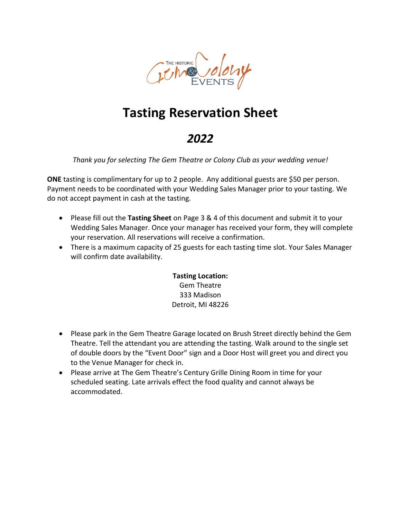

# **Tasting Reservation Sheet**

## *2022*

*Thank you for selecting The Gem Theatre or Colony Club as your wedding venue!*

**ONE** tasting is complimentary for up to 2 people. Any additional guests are \$50 per person. Payment needs to be coordinated with your Wedding Sales Manager prior to your tasting. We do not accept payment in cash at the tasting.

- Please fill out the **Tasting Sheet** on Page 3 & 4 of this document and submit it to your Wedding Sales Manager. Once your manager has received your form, they will complete your reservation. All reservations will receive a confirmation.
- There is a maximum capacity of 25 guests for each tasting time slot. Your Sales Manager will confirm date availability.

**Tasting Location:** Gem Theatre 333 Madison Detroit, MI 48226

- Please park in the Gem Theatre Garage located on Brush Street directly behind the Gem Theatre. Tell the attendant you are attending the tasting. Walk around to the single set of double doors by the "Event Door" sign and a Door Host will greet you and direct you to the Venue Manager for check in.
- Please arrive at The Gem Theatre's Century Grille Dining Room in time for your scheduled seating. Late arrivals effect the food quality and cannot always be accommodated.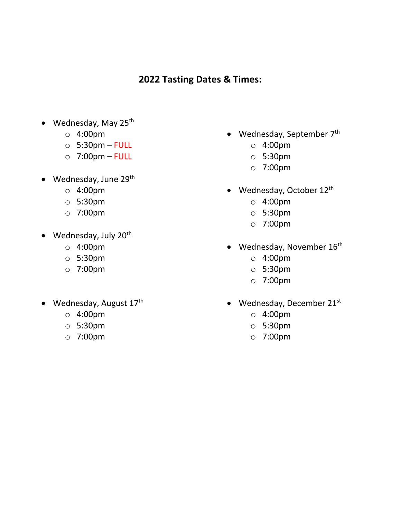### **2022 Tasting Dates & Times:**

- Wednesday, May 25<sup>th</sup>
	- o 4:00pm
	- $\circ$  5:30pm FULL
	- o 7:00pm FULL
- Wednesday, June  $29<sup>th</sup>$ 
	- o 4:00pm
	- o 5:30pm
	- o 7:00pm
- Wednesday, July 20<sup>th</sup>
	- o 4:00pm
	- o 5:30pm
	- o 7:00pm
- Wednesday, August  $17<sup>th</sup>$ 
	- o 4:00pm
	- o 5:30pm
	- o 7:00pm
- Wednesday, September 7<sup>th</sup>
	- o 4:00pm
	- o 5:30pm
	- o 7:00pm
- Wednesday, October 12<sup>th</sup>
	- o 4:00pm
	- o 5:30pm
	- o 7:00pm
- Wednesday, November 16<sup>th</sup>
	- o 4:00pm
	- o 5:30pm
	- o 7:00pm
- Wednesday, December 21st
	- o 4:00pm
	- o 5:30pm
	- o 7:00pm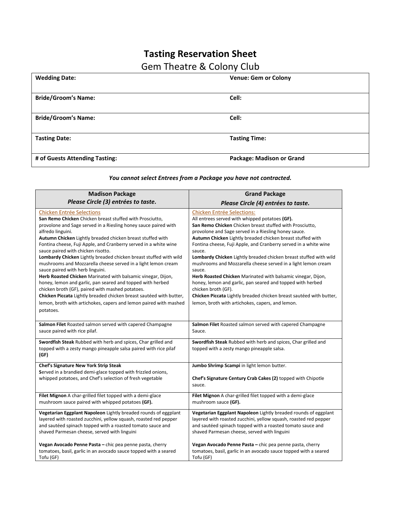## **Tasting Reservation Sheet**

### Gem Theatre & Colony Club

| <b>Wedding Date:</b>           | <b>Venue: Gem or Colony</b> |
|--------------------------------|-----------------------------|
|                                |                             |
| <b>Bride/Groom's Name:</b>     | Cell:                       |
|                                |                             |
| <b>Bride/Groom's Name:</b>     | Cell:                       |
|                                |                             |
| <b>Tasting Date:</b>           | <b>Tasting Time:</b>        |
|                                |                             |
| # of Guests Attending Tasting: | Package: Madison or Grand   |

#### *You cannot select Entrees from a Package you have not contracted.*

| <b>Madison Package</b>                                                                                                                    | <b>Grand Package</b>                                                                                        |
|-------------------------------------------------------------------------------------------------------------------------------------------|-------------------------------------------------------------------------------------------------------------|
| Please Circle (3) entrées to taste.                                                                                                       | Please Circle (4) entrées to taste.                                                                         |
| <b>Chicken Entrée Selections</b>                                                                                                          | <b>Chicken Entrée Selections:</b>                                                                           |
| San Remo Chicken Chicken breast stuffed with Prosciutto,                                                                                  | All entrees served with whipped potatoes (GF).                                                              |
| provolone and Sage served in a Riesling honey sauce paired with                                                                           | San Remo Chicken Chicken breast stuffed with Prosciutto,                                                    |
| alfredo linguini.                                                                                                                         | provolone and Sage served in a Riesling honey sauce.                                                        |
| Autumn Chicken Lightly breaded chicken breast stuffed with                                                                                | Autumn Chicken Lightly breaded chicken breast stuffed with                                                  |
| Fontina cheese, Fuji Apple, and Cranberry served in a white wine                                                                          | Fontina cheese, Fuji Apple, and Cranberry served in a white wine                                            |
| sauce paired with chicken risotto.                                                                                                        | sauce.                                                                                                      |
| Lombardy Chicken Lightly breaded chicken breast stuffed with wild                                                                         | Lombardy Chicken Lightly breaded chicken breast stuffed with wild                                           |
| mushrooms and Mozzarella cheese served in a light lemon cream                                                                             | mushrooms and Mozzarella cheese served in a light lemon cream                                               |
| sauce paired with herb linguini.                                                                                                          | sauce.                                                                                                      |
| Herb Roasted Chicken Marinated with balsamic vinegar, Dijon,                                                                              | Herb Roasted Chicken Marinated with balsamic vinegar, Dijon,                                                |
| honey, lemon and garlic, pan seared and topped with herbed                                                                                | honey, lemon and garlic, pan seared and topped with herbed                                                  |
| chicken broth (GF), paired with mashed potatoes.                                                                                          | chicken broth (GF).                                                                                         |
| Chicken Piccata Lightly breaded chicken breast sautéed with butter,                                                                       | Chicken Piccata Lightly breaded chicken breast sautéed with butter,                                         |
| lemon, broth with artichokes, capers and lemon paired with mashed                                                                         | lemon, broth with artichokes, capers, and lemon.                                                            |
| potatoes.<br>Salmon Filet Roasted salmon served with capered Champagne<br>sauce paired with rice pilaf.                                   | Salmon Filet Roasted salmon served with capered Champagne<br>Sauce.                                         |
| Swordfish Steak Rubbed with herb and spices, Char grilled and<br>topped with a zesty mango pineapple salsa paired with rice pilaf<br>(GF) | Swordfish Steak Rubbed with herb and spices, Char grilled and<br>topped with a zesty mango pineapple salsa. |
| Chef's Signature New York Strip Steak                                                                                                     | Jumbo Shrimp Scampi in light lemon butter.                                                                  |
| Served in a brandied demi-glace topped with frizzled onions,                                                                              | Chef's Signature Century Crab Cakes (2) topped with Chipotle                                                |
| whipped potatoes, and Chef's selection of fresh vegetable                                                                                 | sauce.                                                                                                      |
| Filet Mignon A char-grilled filet topped with a demi-glace                                                                                | Filet Mignon A char-grilled filet topped with a demi-glace                                                  |
| mushroom sauce paired with whipped potatoes (GF).                                                                                         | mushroom sauce (GF).                                                                                        |
| Vegetarian Eggplant Napoleon Lightly breaded rounds of eggplant                                                                           | Vegetarian Eggplant Napoleon Lightly breaded rounds of eggplant                                             |
| layered with roasted zucchini, yellow squash, roasted red pepper                                                                          | layered with roasted zucchini, yellow squash, roasted red pepper                                            |
| and sautéed spinach topped with a roasted tomato sauce and                                                                                | and sautéed spinach topped with a roasted tomato sauce and                                                  |
| shaved Parmesan cheese, served with linguini                                                                                              | shaved Parmesan cheese, served with linguini                                                                |
| Vegan Avocado Penne Pasta - chic pea penne pasta, cherry                                                                                  | Vegan Avocado Penne Pasta - chic pea penne pasta, cherry                                                    |
| tomatoes, basil, garlic in an avocado sauce topped with a seared                                                                          | tomatoes, basil, garlic in an avocado sauce topped with a seared                                            |
| Tofu (GF)                                                                                                                                 | Tofu (GF)                                                                                                   |